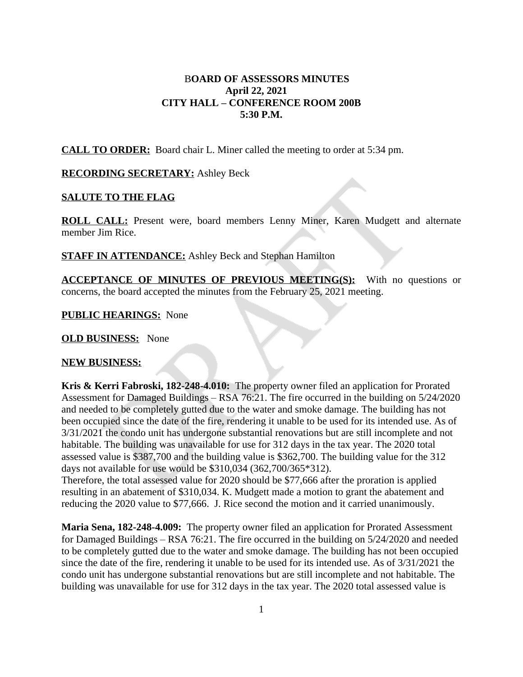# B**OARD OF ASSESSORS MINUTES April 22, 2021 CITY HALL – CONFERENCE ROOM 200B 5:30 P.M.**

**CALL TO ORDER:** Board chair L. Miner called the meeting to order at 5:34 pm.

### **RECORDING SECRETARY:** Ashley Beck

# **SALUTE TO THE FLAG**

**ROLL CALL:** Present were, board members Lenny Miner, Karen Mudgett and alternate member Jim Rice.

**STAFF IN ATTENDANCE:** Ashley Beck and Stephan Hamilton

**ACCEPTANCE OF MINUTES OF PREVIOUS MEETING(S):** With no questions or concerns, the board accepted the minutes from the February 25, 2021 meeting.

**PUBLIC HEARINGS:** None

**OLD BUSINESS:** None

#### **NEW BUSINESS:**

**Kris & Kerri Fabroski, 182-248-4.010:** The property owner filed an application for Prorated Assessment for Damaged Buildings – RSA 76:21. The fire occurred in the building on 5/24/2020 and needed to be completely gutted due to the water and smoke damage. The building has not been occupied since the date of the fire, rendering it unable to be used for its intended use. As of 3/31/2021 the condo unit has undergone substantial renovations but are still incomplete and not habitable. The building was unavailable for use for 312 days in the tax year. The 2020 total assessed value is \$387,700 and the building value is \$362,700. The building value for the 312 days not available for use would be \$310,034 (362,700/365\*312).

Therefore, the total assessed value for 2020 should be \$77,666 after the proration is applied resulting in an abatement of \$310,034. K. Mudgett made a motion to grant the abatement and reducing the 2020 value to \$77,666. J. Rice second the motion and it carried unanimously.

**Maria Sena, 182-248-4.009:** The property owner filed an application for Prorated Assessment for Damaged Buildings – RSA 76:21. The fire occurred in the building on 5/24/2020 and needed to be completely gutted due to the water and smoke damage. The building has not been occupied since the date of the fire, rendering it unable to be used for its intended use. As of 3/31/2021 the condo unit has undergone substantial renovations but are still incomplete and not habitable. The building was unavailable for use for 312 days in the tax year. The 2020 total assessed value is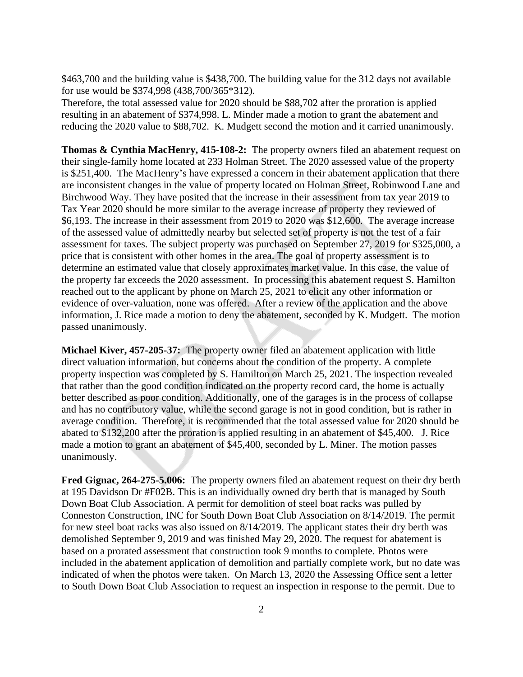\$463,700 and the building value is \$438,700. The building value for the 312 days not available for use would be \$374,998 (438,700/365\*312).

Therefore, the total assessed value for 2020 should be \$88,702 after the proration is applied resulting in an abatement of \$374,998. L. Minder made a motion to grant the abatement and reducing the 2020 value to \$88,702. K. Mudgett second the motion and it carried unanimously.

**Thomas & Cynthia MacHenry, 415-108-2:** The property owners filed an abatement request on their single-family home located at 233 Holman Street. The 2020 assessed value of the property is \$251,400. The MacHenry's have expressed a concern in their abatement application that there are inconsistent changes in the value of property located on Holman Street, Robinwood Lane and Birchwood Way. They have posited that the increase in their assessment from tax year 2019 to Tax Year 2020 should be more similar to the average increase of property they reviewed of \$6,193. The increase in their assessment from 2019 to 2020 was \$12,600. The average increase of the assessed value of admittedly nearby but selected set of property is not the test of a fair assessment for taxes. The subject property was purchased on September 27, 2019 for \$325,000, a price that is consistent with other homes in the area. The goal of property assessment is to determine an estimated value that closely approximates market value. In this case, the value of the property far exceeds the 2020 assessment. In processing this abatement request S. Hamilton reached out to the applicant by phone on March 25, 2021 to elicit any other information or evidence of over-valuation, none was offered. After a review of the application and the above information, J. Rice made a motion to deny the abatement, seconded by K. Mudgett. The motion passed unanimously.

**Michael Kiver, 457-205-37:** The property owner filed an abatement application with little direct valuation information, but concerns about the condition of the property. A complete property inspection was completed by S. Hamilton on March 25, 2021. The inspection revealed that rather than the good condition indicated on the property record card, the home is actually better described as poor condition. Additionally, one of the garages is in the process of collapse and has no contributory value, while the second garage is not in good condition, but is rather in average condition. Therefore, it is recommended that the total assessed value for 2020 should be abated to \$132,200 after the proration is applied resulting in an abatement of \$45,400. J. Rice made a motion to grant an abatement of \$45,400, seconded by L. Miner. The motion passes unanimously.

**Fred Gignac, 264-275-5.006:** The property owners filed an abatement request on their dry berth at 195 Davidson Dr #F02B. This is an individually owned dry berth that is managed by South Down Boat Club Association. A permit for demolition of steel boat racks was pulled by Conneston Construction, INC for South Down Boat Club Association on 8/14/2019. The permit for new steel boat racks was also issued on 8/14/2019. The applicant states their dry berth was demolished September 9, 2019 and was finished May 29, 2020. The request for abatement is based on a prorated assessment that construction took 9 months to complete. Photos were included in the abatement application of demolition and partially complete work, but no date was indicated of when the photos were taken. On March 13, 2020 the Assessing Office sent a letter to South Down Boat Club Association to request an inspection in response to the permit. Due to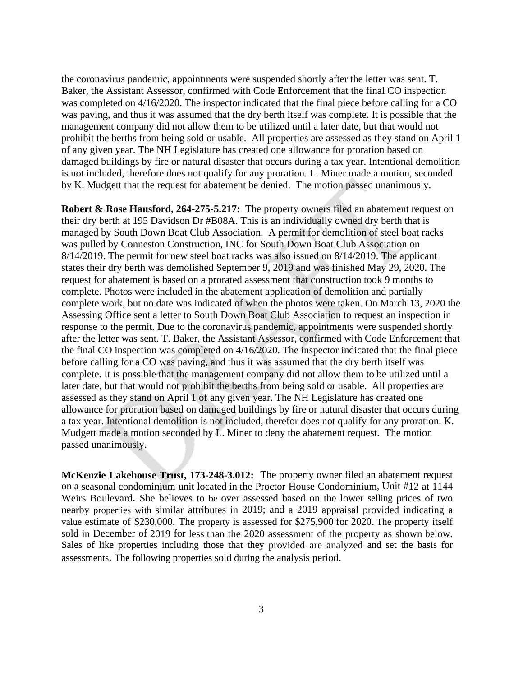the coronavirus pandemic, appointments were suspended shortly after the letter was sent. T. Baker, the Assistant Assessor, confirmed with Code Enforcement that the final CO inspection was completed on 4/16/2020. The inspector indicated that the final piece before calling for a CO was paving, and thus it was assumed that the dry berth itself was complete. It is possible that the management company did not allow them to be utilized until a later date, but that would not prohibit the berths from being sold or usable. All properties are assessed as they stand on April 1 of any given year. The NH Legislature has created one allowance for proration based on damaged buildings by fire or natural disaster that occurs during a tax year. Intentional demolition is not included, therefore does not qualify for any proration. L. Miner made a motion, seconded by K. Mudgett that the request for abatement be denied. The motion passed unanimously.

**Robert & Rose Hansford, 264-275-5.217:** The property owners filed an abatement request on their dry berth at 195 Davidson Dr #B08A. This is an individually owned dry berth that is managed by South Down Boat Club Association. A permit for demolition of steel boat racks was pulled by Conneston Construction, INC for South Down Boat Club Association on 8/14/2019. The permit for new steel boat racks was also issued on 8/14/2019. The applicant states their dry berth was demolished September 9, 2019 and was finished May 29, 2020. The request for abatement is based on a prorated assessment that construction took 9 months to complete. Photos were included in the abatement application of demolition and partially complete work, but no date was indicated of when the photos were taken. On March 13, 2020 the Assessing Office sent a letter to South Down Boat Club Association to request an inspection in response to the permit. Due to the coronavirus pandemic, appointments were suspended shortly after the letter was sent. T. Baker, the Assistant Assessor, confirmed with Code Enforcement that the final CO inspection was completed on 4/16/2020. The inspector indicated that the final piece before calling for a CO was paving, and thus it was assumed that the dry berth itself was complete. It is possible that the management company did not allow them to be utilized until a later date, but that would not prohibit the berths from being sold or usable. All properties are assessed as they stand on April 1 of any given year. The NH Legislature has created one allowance for proration based on damaged buildings by fire or natural disaster that occurs during a tax year. Intentional demolition is not included, therefor does not qualify for any proration. K. Mudgett made a motion seconded by L. Miner to deny the abatement request. The motion passed unanimously.

**McKenzie Lakehouse Trust, 173-248-3.012:** The property owner filed an abatement request on a seasonal condominium unit located in the Proctor House Condominium, Unit #12 at 1144 Weirs Boulevard. She believes to be over assessed based on the lower selling prices of two nearby properties with similar attributes in 2019; and a 2019 appraisal provided indicating a value estimate of \$230,000. The property is assessed for \$275,900 for 2020. The property itself sold in December of 2019 for less than the 2020 assessment of the property as shown below. Sales of like properties including those that they provided are analyzed and set the basis for assessments. The following properties sold during the analysis period.